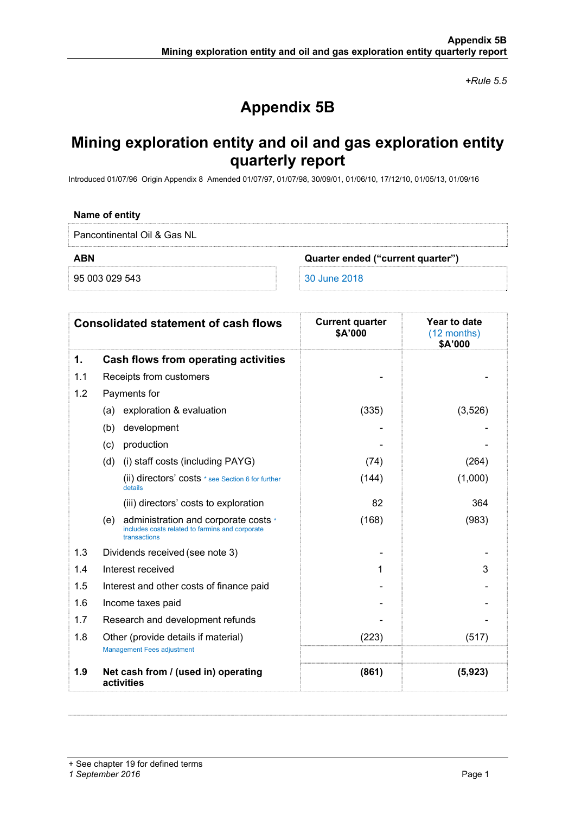*+Rule 5.5* 

# **Appendix 5B**

## **Mining exploration entity and oil and gas exploration entity quarterly report**

Introduced 01/07/96 Origin Appendix 8 Amended 01/07/97, 01/07/98, 30/09/01, 01/06/10, 17/12/10, 01/05/13, 01/09/16

### **Name of entity**

Pancontinental Oil & Gas NL

**ABN Quarter ended ("current quarter")** 

95 003 029 543 30 June 2018

|     | <b>Consolidated statement of cash flows</b>                                                                    | <b>Current quarter</b><br>\$A'000 | Year to date<br>(12 months)<br>\$A'000 |
|-----|----------------------------------------------------------------------------------------------------------------|-----------------------------------|----------------------------------------|
| 1.  | Cash flows from operating activities                                                                           |                                   |                                        |
| 1.1 | Receipts from customers                                                                                        |                                   |                                        |
| 1.2 | Payments for                                                                                                   |                                   |                                        |
|     | exploration & evaluation<br>(a)                                                                                | (335)                             | (3,526)                                |
|     | development<br>(b)                                                                                             |                                   |                                        |
|     | production<br>(c)                                                                                              |                                   |                                        |
|     | (d)<br>(i) staff costs (including PAYG)                                                                        | (74)                              | (264)                                  |
|     | (ii) directors' costs * see Section 6 for further<br>details                                                   | (144)                             | (1,000)                                |
|     | (iii) directors' costs to exploration                                                                          | 82                                | 364                                    |
|     | administration and corporate costs *<br>(e)<br>includes costs related to farmins and corporate<br>transactions | (168)                             | (983)                                  |
| 1.3 | Dividends received (see note 3)                                                                                |                                   |                                        |
| 1.4 | Interest received                                                                                              | 1                                 | 3                                      |
| 1.5 | Interest and other costs of finance paid                                                                       |                                   |                                        |
| 1.6 | Income taxes paid                                                                                              |                                   |                                        |
| 1.7 | Research and development refunds                                                                               |                                   |                                        |
| 1.8 | Other (provide details if material)                                                                            | (223)                             | (517)                                  |
|     | <b>Management Fees adjustment</b>                                                                              |                                   |                                        |
| 1.9 | Net cash from / (used in) operating<br>activities                                                              | (861)                             | (5,923)                                |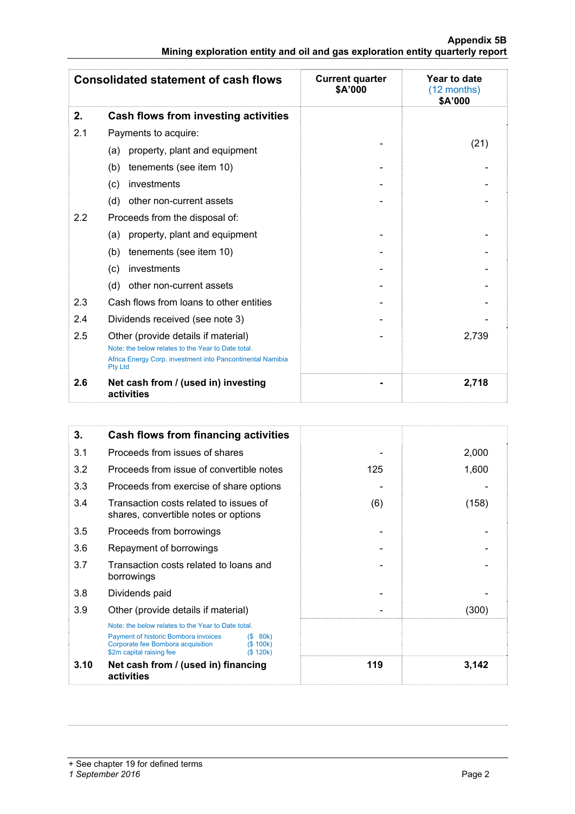|                                                                               |  |  | Appendix 5B |
|-------------------------------------------------------------------------------|--|--|-------------|
| Mining exploration entity and oil and gas exploration entity quarterly report |  |  |             |

|     | <b>Consolidated statement of cash flows</b>                                                                                        | <b>Current quarter</b><br>\$A'000 | Year to date<br>$(12$ months)<br>\$A'000 |
|-----|------------------------------------------------------------------------------------------------------------------------------------|-----------------------------------|------------------------------------------|
| 2.  | Cash flows from investing activities                                                                                               |                                   |                                          |
| 2.1 | Payments to acquire:                                                                                                               |                                   |                                          |
|     | property, plant and equipment<br>(a)                                                                                               |                                   | (21)                                     |
|     | tenements (see item 10)<br>(b)                                                                                                     |                                   |                                          |
|     | investments<br>(c)                                                                                                                 |                                   |                                          |
|     | (d)<br>other non-current assets                                                                                                    |                                   |                                          |
| 2.2 | Proceeds from the disposal of:                                                                                                     |                                   |                                          |
|     | property, plant and equipment<br>(a)                                                                                               |                                   |                                          |
|     | tenements (see item 10)<br>(b)                                                                                                     |                                   |                                          |
|     | investments<br>(c)                                                                                                                 |                                   |                                          |
|     | (d)<br>other non-current assets                                                                                                    |                                   |                                          |
| 2.3 | Cash flows from loans to other entities                                                                                            |                                   |                                          |
| 2.4 | Dividends received (see note 3)                                                                                                    |                                   |                                          |
| 2.5 | Other (provide details if material)                                                                                                |                                   | 2,739                                    |
|     | Note: the below relates to the Year to Date total.<br>Africa Energy Corp. investment into Pancontinental Namibia<br><b>Pty Ltd</b> |                                   |                                          |
| 2.6 | Net cash from / (used in) investing<br>activities                                                                                  |                                   | 2,718                                    |

| 3.   | Cash flows from financing activities                                                                                                                                                           |     |       |
|------|------------------------------------------------------------------------------------------------------------------------------------------------------------------------------------------------|-----|-------|
| 3.1  | Proceeds from issues of shares                                                                                                                                                                 |     | 2,000 |
| 3.2  | Proceeds from issue of convertible notes                                                                                                                                                       | 125 | 1,600 |
| 3.3  | Proceeds from exercise of share options                                                                                                                                                        |     |       |
| 3.4  | Transaction costs related to issues of<br>shares, convertible notes or options                                                                                                                 | (6) | (158) |
| 3.5  | Proceeds from borrowings                                                                                                                                                                       |     |       |
| 3.6  | Repayment of borrowings                                                                                                                                                                        |     |       |
| 3.7  | Transaction costs related to loans and<br>borrowings                                                                                                                                           |     |       |
| 3.8  | Dividends paid                                                                                                                                                                                 |     |       |
| 3.9  | Other (provide details if material)                                                                                                                                                            |     | (300) |
|      | Note: the below relates to the Year to Date total.<br>Payment of historic Bombora invoices<br>(S 80k)<br>Corporate fee Bombora acquisition<br>(S 100k)<br>\$2m capital raising fee<br>(S 120k) |     |       |
| 3.10 | Net cash from / (used in) financing<br>activities                                                                                                                                              | 119 | 3,142 |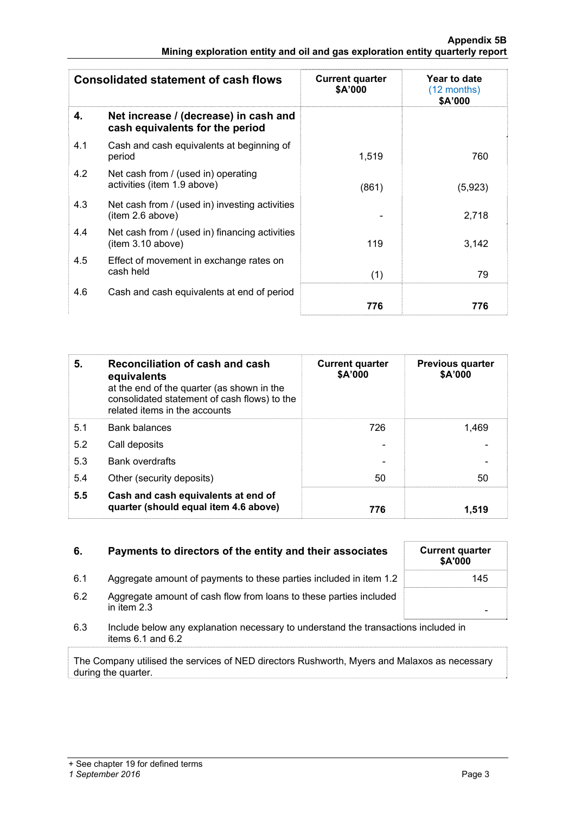|     | <b>Consolidated statement of cash flows</b>                              | <b>Current quarter</b><br>\$A'000 | Year to date<br>$(12 \text{ months})$<br>\$A'000 |
|-----|--------------------------------------------------------------------------|-----------------------------------|--------------------------------------------------|
| 4.  | Net increase / (decrease) in cash and<br>cash equivalents for the period |                                   |                                                  |
| 4.1 | Cash and cash equivalents at beginning of<br>period                      | 1,519                             | 760                                              |
| 4.2 | Net cash from / (used in) operating<br>activities (item 1.9 above)       | (861)                             | (5,923)                                          |
| 4.3 | Net cash from / (used in) investing activities<br>item 2.6 above)        |                                   | 2,718                                            |
| 4.4 | Net cash from / (used in) financing activities<br>(item 3.10 above)      | 119                               | 3,142                                            |
| 4.5 | Effect of movement in exchange rates on<br>cash held                     | (1)                               | 79                                               |
| 4.6 | Cash and cash equivalents at end of period                               | 776                               | 776                                              |

| 5.  | Reconciliation of cash and cash<br>equivalents<br>at the end of the quarter (as shown in the<br>consolidated statement of cash flows) to the<br>related items in the accounts | <b>Current quarter</b><br>\$A'000 | <b>Previous quarter</b><br>\$A'000 |
|-----|-------------------------------------------------------------------------------------------------------------------------------------------------------------------------------|-----------------------------------|------------------------------------|
| 5.1 | <b>Bank balances</b>                                                                                                                                                          | 726                               | 1.469                              |
| 5.2 | Call deposits                                                                                                                                                                 |                                   |                                    |
| 5.3 | <b>Bank overdrafts</b>                                                                                                                                                        |                                   |                                    |
| 5.4 | Other (security deposits)                                                                                                                                                     | 50                                | 50                                 |
| 5.5 | Cash and cash equivalents at end of<br>quarter (should equal item 4.6 above)                                                                                                  | 776                               | 1.519                              |

| Payments to directors of the entity and their associates | <b>Current quarter</b> |
|----------------------------------------------------------|------------------------|
|                                                          |                        |

- 6.1 Aggregate amount of payments to these parties included in item 1.2
- 6.2 Aggregate amount of cash flow from loans to these parties included in item 2.3 -
- 6.3 Include below any explanation necessary to understand the transactions included in items 6.1 and 6.2

The Company utilised the services of NED directors Rushworth, Myers and Malaxos as necessary during the quarter.

| <b>Current quarter</b><br>\$A'000 |  |
|-----------------------------------|--|
| 145                               |  |
|                                   |  |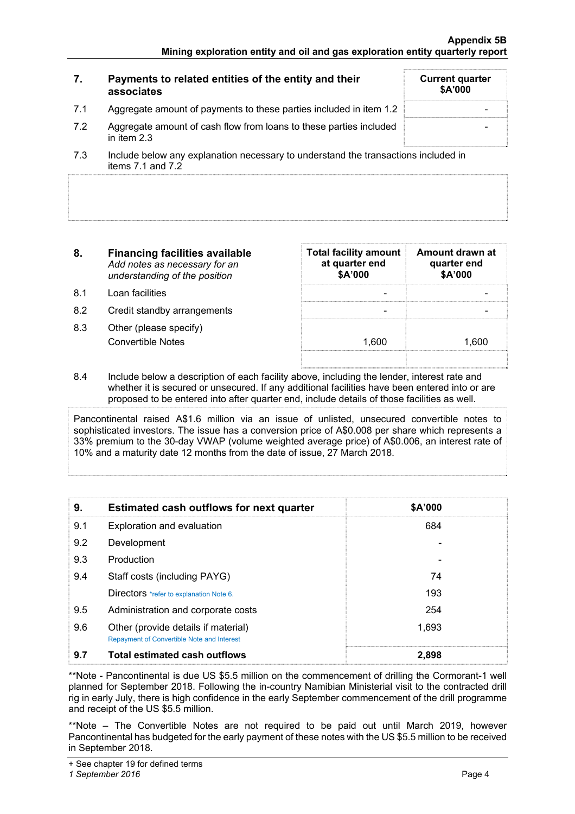|     | Payments to related entities of the entity and their<br>associates                | <b>Current quarter</b><br>\$A'000 |
|-----|-----------------------------------------------------------------------------------|-----------------------------------|
| 7.1 | Aggregate amount of payments to these parties included in item 1.2                |                                   |
| 7.2 | Aggregate amount of cash flow from loans to these parties included<br>in item 2.3 |                                   |
|     |                                                                                   |                                   |

- 7.3 Include below any explanation necessary to understand the transactions included in items  $7.1$  and  $7.2$
- **8. Financing facilities available** *Add notes as necessary for an understanding of the position*
- 8.1 Loan facilities
- 8.2 Credit standby arrangements
- 8.3 Other (please specify) Convertible Notes

| Total facility amount   Amount drawn at<br>at quarter end<br>\$A'000 | quarter end<br>\$A'000 |
|----------------------------------------------------------------------|------------------------|
|                                                                      |                        |
| 1.600                                                                | 1.600                  |
|                                                                      |                        |

8.4 Include below a description of each facility above, including the lender, interest rate and whether it is secured or unsecured. If any additional facilities have been entered into or are proposed to be entered into after quarter end, include details of those facilities as well.

Pancontinental raised A\$1.6 million via an issue of unlisted, unsecured convertible notes to sophisticated investors. The issue has a conversion price of A\$0.008 per share which represents a 33% premium to the 30-day VWAP (volume weighted average price) of A\$0.006, an interest rate of 10% and a maturity date 12 months from the date of issue, 27 March 2018.

| 9.  | <b>Estimated cash outflows for next quarter</b>                                          | \$A'000 |
|-----|------------------------------------------------------------------------------------------|---------|
| 9.1 | Exploration and evaluation                                                               | 684     |
| 9.2 | Development                                                                              |         |
| 9.3 | Production                                                                               |         |
| 9.4 | Staff costs (including PAYG)                                                             | 74      |
|     | Directors *refer to explanation Note 6.                                                  | 193     |
| 9.5 | Administration and corporate costs                                                       | 254     |
| 9.6 | Other (provide details if material)<br><b>Repayment of Convertible Note and Interest</b> | 1,693   |
| 9.7 | <b>Total estimated cash outflows</b>                                                     | 2.898   |

\*\*Note - Pancontinental is due US \$5.5 million on the commencement of drilling the Cormorant-1 well planned for September 2018. Following the in-country Namibian Ministerial visit to the contracted drill rig in early July, there is high confidence in the early September commencement of the drill programme and receipt of the US \$5.5 million.

\*\*Note – The Convertible Notes are not required to be paid out until March 2019, however Pancontinental has budgeted for the early payment of these notes with the US \$5.5 million to be received in September 2018.